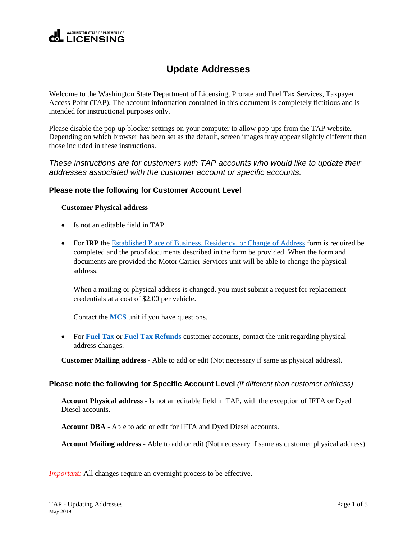

# **Update Addresses**

Welcome to the Washington State Department of Licensing, Prorate and Fuel Tax Services, Taxpayer Access Point (TAP). The account information contained in this document is completely fictitious and is intended for instructional purposes only.

Please disable the pop-up blocker settings on your computer to allow pop-ups from the TAP website. Depending on which browser has been set as the default, screen images may appear slightly different than those included in these instructions.

*These instructions are for customers with TAP accounts who would like to update their addresses associated with the customer account or specific accounts.*

### **Please note the following for Customer Account Level**

#### **Customer Physical address** -

- Is not an editable field in TAP.
- For **IRP** the [Established Place of Business, Residency, or Change of Address](https://www.dol.wa.gov/forms/450004.pdf) form is required be completed and the proof documents described in the form be provided. When the form and documents are provided the Motor Carrier Services unit will be able to change the physical address.

When a mailing or physical address is changed, you must submit a request for replacement credentials at a cost of \$2.00 per vehicle.

<span id="page-0-0"></span>Contact the **[MCS](#page-4-0)** unit if you have questions.

 For **[Fuel Tax](#page-4-1)** or **[Fuel Tax Refunds](#page-0-0)** customer accounts, contact the unit regarding physical address changes.

**Customer Mailing address** - Able to add or edit (Not necessary if same as physical address).

#### **Please note the following for Specific Account Level** *(if different than customer address)*

**Account Physical address** - Is not an editable field in TAP, with the exception of IFTA or Dyed Diesel accounts.

**Account DBA** - Able to add or edit for IFTA and Dyed Diesel accounts.

**Account Mailing address** - Able to add or edit (Not necessary if same as customer physical address).

*Important:* All changes require an overnight process to be effective.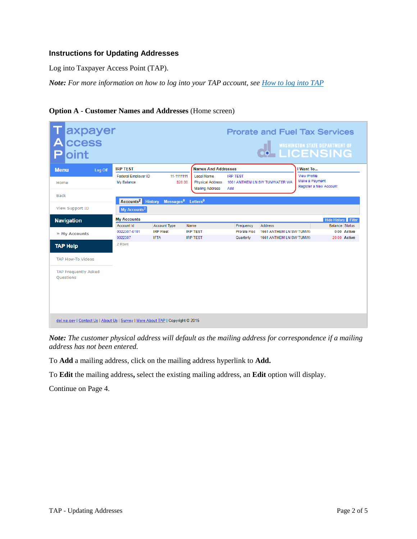## **Instructions for Updating Addresses**

Log into Taxpayer Access Point (TAP).

*Note: For more information on how to log into your TAP account, see [How to log into TAP](http://www.dol.wa.gov/vehicleregistration/docs/TAP-how-to-log-into-tap.pdf)*

| axpayer<br>ccess<br>Δ<br>oint                                                   |                                          |                                                        |                                                                        |                                         | <b>Prorate and Fuel Tax Services</b>                                        |                                       | <b>ON WASHINGTON STATE DEPARTMENT OF</b>             |
|---------------------------------------------------------------------------------|------------------------------------------|--------------------------------------------------------|------------------------------------------------------------------------|-----------------------------------------|-----------------------------------------------------------------------------|---------------------------------------|------------------------------------------------------|
| <b>Menu</b><br>Log Off                                                          | <b>IRP TEST</b>                          |                                                        | <b>Names And Addresses</b>                                             |                                         |                                                                             | I Want To                             |                                                      |
| Home<br><b>Back</b>                                                             | <b>Federal Employer ID</b><br>My Balance | 11-1111111<br>\$20.00                                  | <b>Legal Name</b><br><b>Physical Address</b><br><b>Mailing Address</b> | <b>IRP TEST</b><br>Add                  | 1661 ANTHEM LN SW TUMWATER WA                                               | <b>View Profile</b><br>Make a Payment | Register a New Account                               |
|                                                                                 | Accounts <sup>2</sup> History            | Messages <sup>0</sup>                                  | Letters <sup>0</sup>                                                   |                                         |                                                                             |                                       |                                                      |
| <b>View Support ID</b>                                                          | My Accounts <sup>2</sup>                 |                                                        |                                                                        |                                         |                                                                             |                                       |                                                      |
| <b>Navigation</b>                                                               | <b>My Accounts</b>                       |                                                        |                                                                        |                                         |                                                                             |                                       | <b>Hide History Filter</b>                           |
| » My Accounts                                                                   | Account Id<br>0022307-0101<br>0022307    | <b>Account Type</b><br><b>IRP Fleet</b><br><b>IFTA</b> | Name<br><b>IRP TEST</b><br><b>IRP TEST</b>                             | Frequency<br>Prorate Fisc.<br>Quarterly | <b>Address</b><br><b>1661 ANTHEM LN SW TUMW/</b><br>1661 ANTHEM LN SW TUMW/ |                                       | <b>Balance Status</b><br>0.00 Active<br>20.00 Active |
| <b>TAP Help</b>                                                                 | 2 Rows                                   |                                                        |                                                                        |                                         |                                                                             |                                       |                                                      |
| <b>TAP How-To Videos</b>                                                        |                                          |                                                        |                                                                        |                                         |                                                                             |                                       |                                                      |
| <b>TAP Frequently Asked</b><br><b>Ouestions</b>                                 |                                          |                                                        |                                                                        |                                         |                                                                             |                                       |                                                      |
| dol.wa.gov   Contact Us   About Us   Survey   More About TAP   Copyright @ 2015 |                                          |                                                        |                                                                        |                                         |                                                                             |                                       |                                                      |

**Option A** - **Customer Names and Addresses** (Home screen)

*Note: The customer physical address will default as the mailing address for correspondence if a mailing address has not been entered.*

To **Add** a mailing address, click on the mailing address hyperlink to **Add.**

To **Edit** the mailing address**,** select the existing mailing address, an **Edit** option will display.

Continue on Page 4.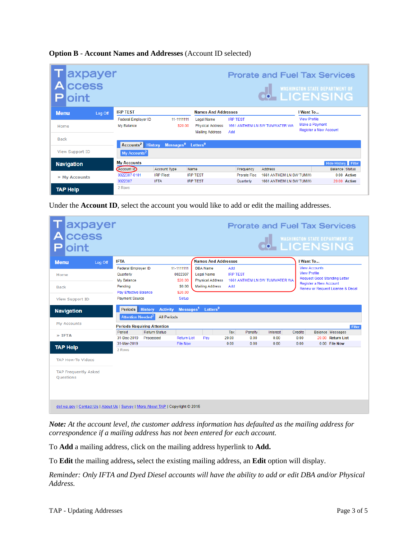|  |  |  | <b>Option B - Account Names and Addresses</b> (Account ID selected) |
|--|--|--|---------------------------------------------------------------------|
|  |  |  |                                                                     |

| axpayer<br>ccess<br>loint |                                          |                                            |                                                                        |                        | <b>Prorate and Fuel Tax Services</b><br><b>CO-LICENSING</b> |                                       | <b>WASHINGTON STATE DEPARTMENT OF</b> |
|---------------------------|------------------------------------------|--------------------------------------------|------------------------------------------------------------------------|------------------------|-------------------------------------------------------------|---------------------------------------|---------------------------------------|
| <b>Menu</b><br>Log Off    | <b>IRP TEST</b>                          |                                            | <b>Names And Addresses</b>                                             |                        |                                                             | I Want To                             |                                       |
| Home                      | <b>Federal Employer ID</b><br>My Balance | 11-1111111<br>\$20.00                      | <b>Legal Name</b><br><b>Physical Address</b><br><b>Mailing Address</b> | <b>IRP TEST</b><br>Add | 1661 ANTHEM LN SW TUMWATER WA                               | <b>View Profile</b><br>Make a Payment | Register a New Account                |
| Back                      | Accounts <sup>2</sup> History            | Messages <sup>0</sup> Letters <sup>0</sup> |                                                                        |                        |                                                             |                                       |                                       |
| View Support ID           | My Accounts <sup>2</sup>                 |                                            |                                                                        |                        |                                                             |                                       |                                       |
| <b>Navigation</b>         | <b>My Accounts</b>                       |                                            |                                                                        |                        |                                                             |                                       | <b>Hide History</b> Filter            |
|                           | Account Id                               | <b>Account Type</b>                        | Name                                                                   | Frequency              | <b>Address</b>                                              |                                       | <b>Balance Status</b>                 |
| » My Accounts             | 0022307-0101                             | <b>IRP Fleet</b>                           | <b>IRP TEST</b>                                                        | <b>Prorate Fisc</b>    | 1661 ANTHEM LN SW TUMW/                                     |                                       | 0.00 Active                           |
|                           | 0022307                                  | <b>IFTA</b>                                | <b>IRP TEST</b>                                                        | Quarterly              | 1661 ANTHEM LN SW TUMW/                                     |                                       | 20.00 Active                          |
| <b>TAP Help</b>           | 2 Rows                                   |                                            |                                                                        |                        |                                                             |                                       |                                       |

Under the **Account ID**, select the account you would like to add or edit the mailing addresses.

| axpayer<br>ccess<br>oint                                                        |                                                                                                                           |                                    |                                                                       |                                                                                           |                               |                 |                               |                 |                                                                       | <b>Prorate and Fuel Tax Services</b><br>WASHINGTON STATE DEPARTMENT OF  |        |
|---------------------------------------------------------------------------------|---------------------------------------------------------------------------------------------------------------------------|------------------------------------|-----------------------------------------------------------------------|-------------------------------------------------------------------------------------------|-------------------------------|-----------------|-------------------------------|-----------------|-----------------------------------------------------------------------|-------------------------------------------------------------------------|--------|
| <b>Menu</b><br>Log Off                                                          | <b>IFTA</b>                                                                                                               |                                    |                                                                       | <b>Names And Addresses</b>                                                                |                               |                 |                               |                 | I Want To                                                             |                                                                         |        |
| Home<br><b>Back</b><br><b>View Support ID</b>                                   | <b>Federal Employer ID</b><br>Quarterly<br>My Balance<br>Pending<br><b>Pay Effective Balance</b><br><b>Payment Source</b> |                                    | 11-1111111<br>0022307<br>\$20.00<br>\$0.00<br>\$20.00<br><b>Setup</b> | <b>DBA Name</b><br><b>Legal Name</b><br><b>Physical Address</b><br><b>Mailing Address</b> | Add<br><b>IRP TEST</b><br>Add |                 | 1661 ANTHEM LN SW TUMWATER WA |                 | <b>View Accounts</b><br><b>View Profile</b><br>Register a New Account | <b>Request Good Standing Letter</b><br>Renew or Request License & Decal |        |
| <b>Navigation</b>                                                               | Periods History<br>Attention Needed <sup>2</sup>                                                                          | <b>Activity</b><br>All Periods     |                                                                       | Messages <sup>1</sup> Letters <sup>0</sup>                                                |                               |                 |                               |                 |                                                                       |                                                                         |        |
| My Accounts                                                                     |                                                                                                                           | <b>Periods Requiring Attention</b> |                                                                       |                                                                                           |                               |                 |                               |                 |                                                                       |                                                                         | Filter |
| $\lambda$ IFTA                                                                  | Period<br>31-Dec-2019                                                                                                     | <b>Return Status</b><br>Processed  | <b>Return List</b>                                                    | Pay                                                                                       | Tax<br>20.00                  | Penalty<br>0.00 | Interest<br>0.00              | Credits<br>0.00 |                                                                       | <b>Balance Messages</b><br>20.00 Return List                            |        |
| <b>TAP Help</b><br><b>TAP How-To Videos</b>                                     | 31-Mar-2019<br>2 Rows                                                                                                     |                                    | <b>File Now</b>                                                       |                                                                                           | 0.00                          | 0.00            | 0.00                          | 0.00            |                                                                       | 0.00 File Now                                                           |        |
| <b>TAP Frequently Asked</b><br><b>Ouestions</b>                                 |                                                                                                                           |                                    |                                                                       |                                                                                           |                               |                 |                               |                 |                                                                       |                                                                         |        |
| dol.wa.gov   Contact Us   About Us   Survey   More About TAP   Copyright © 2015 |                                                                                                                           |                                    |                                                                       |                                                                                           |                               |                 |                               |                 |                                                                       |                                                                         |        |

*Note: At the account level, the customer address information has defaulted as the mailing address for correspondence if a mailing address has not been entered for each account.* 

To **Add** a mailing address, click on the mailing address hyperlink to **Add.**

To **Edit** the mailing address**,** select the existing mailing address, an **Edit** option will display.

*Reminder: Only IFTA and Dyed Diesel accounts will have the ability to add or edit DBA and/or Physical Address.*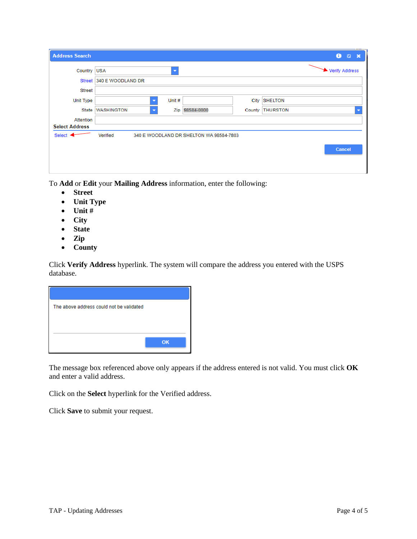| <b>Address Search</b> |                          |                                   |                                         |        |                 | $\bullet$<br>$2 \times$ |
|-----------------------|--------------------------|-----------------------------------|-----------------------------------------|--------|-----------------|-------------------------|
| Country USA           |                          | ▼                                 |                                         |        |                 | Verify Address          |
|                       | Street 340 E WOODLAND DR |                                   |                                         |        |                 |                         |
| <b>Street</b>         |                          |                                   |                                         |        |                 |                         |
| <b>Unit Type</b>      |                          | Unit#<br>$\overline{\phantom{a}}$ |                                         | City   | <b>SHELTON</b>  |                         |
|                       | State WASHINGTON         | Zip<br>▼                          | 98584-0000                              | County | <b>THURSTON</b> | ۰                       |
| Attention             |                          |                                   |                                         |        |                 |                         |
| <b>Select Address</b> |                          |                                   |                                         |        |                 |                         |
| Select <              | Verified                 |                                   | 340 E WOODLAND DR SHELTON WA 98584-7803 |        |                 |                         |
|                       |                          |                                   |                                         |        |                 | Cancel                  |
|                       |                          |                                   |                                         |        |                 |                         |
|                       |                          |                                   |                                         |        |                 |                         |

To **Add** or **Edit** your **Mailing Address** information, enter the following:

- **Street**
- **Unit Type**
- **Unit #**
- **City**
- **State**
- **Zip**
- **County**

Click **Verify Address** hyperlink. The system will compare the address you entered with the USPS database.

| The above address could not be validated |    |
|------------------------------------------|----|
|                                          |    |
|                                          |    |
|                                          | OK |

The message box referenced above only appears if the address entered is not valid. You must click **OK** and enter a valid address.

Click on the **Select** hyperlink for the Verified address.

Click **Save** to submit your request.